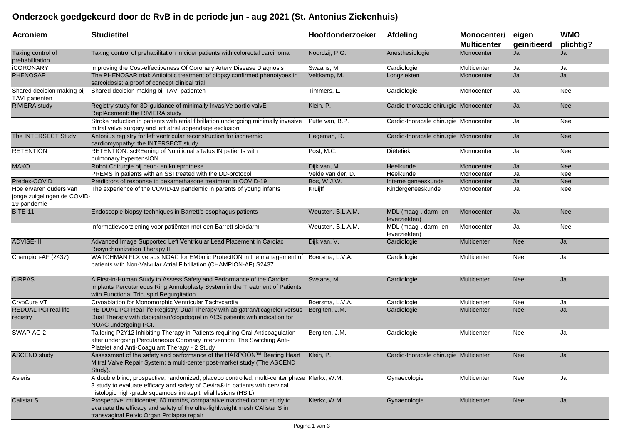## **Onderzoek goedgekeurd door de RvB in de periode jun - aug 2021 (St. Antonius Ziekenhuis)**

| <b>Acroniem</b>                                                      | <b>Studietitel</b>                                                                                                                                                                                                                            | Hoofdonderzoeker  | <b>Afdeling</b>                        | Monocenter/<br><b>Multicenter</b> | eigen<br>geïnitieerd | <b>WMO</b><br>plichtig? |
|----------------------------------------------------------------------|-----------------------------------------------------------------------------------------------------------------------------------------------------------------------------------------------------------------------------------------------|-------------------|----------------------------------------|-----------------------------------|----------------------|-------------------------|
| Taking control of<br>prehabilitation                                 | Taking control of prehabilitation in cider patients with colorectal carcinoma                                                                                                                                                                 | Noordzij, P.G.    | Anesthesiologie                        | Monocenter                        | Ja                   | Ja                      |
| <b>iCORONARY</b>                                                     | Improving the Cost-effectiveness Of Coronary Artery Disease Diagnosis                                                                                                                                                                         | Swaans, M.        | Cardiologie                            | Multicenter                       | Ja                   | Ja                      |
| <b>PHENOSAR</b>                                                      | The PHENOSAR trial: Antibiotic treatment of biopsy confirmed phenotypes in<br>sarcoidosis: a proof of concept clinical trial                                                                                                                  | Veltkamp, M.      | Longziekten                            | Monocenter                        | Ja                   | Ja                      |
| Shared decision making bij<br>TAVI patienten                         | Shared decision making bij TAVI patienten                                                                                                                                                                                                     | Timmers, L.       | Cardiologie                            | Monocenter                        | Ja                   | Nee                     |
| <b>RIVIERA</b> study                                                 | Registry study for 3D-guidance of minimally InvasiVe aortIc valvE<br>ReplAcement: the RIVIERA study                                                                                                                                           | Klein, P.         | Cardio-thoracale chirurgie Monocenter  |                                   | Ja                   | <b>Nee</b>              |
|                                                                      | Stroke reduction in patients with atrial fibrillation undergoing minimally invasive<br>mitral valve surgery and left atrial appendage exclusion.                                                                                              | Putte van. B.P.   | Cardio-thoracale chirurgie Monocenter  |                                   | Ja                   | Nee                     |
| The INTERSECT Study                                                  | Antonius registry for left ventricular reconstruction for ischaemic<br>cardiomyopathy: the INTERSECT study.                                                                                                                                   | Hegeman, R.       | Cardio-thoracale chirurgie Monocenter  |                                   | Ja                   | <b>Nee</b>              |
| <b>RETENTION</b>                                                     | RETENTION: scREening of Nutritional sTatus IN patients with<br>pulmonary hypertensION                                                                                                                                                         | Post, M.C.        | Diëtetiek                              | Monocenter                        | Ja                   | Nee                     |
| <b>MAKO</b>                                                          | Robot Chirurgie bij heup- en knieprothese                                                                                                                                                                                                     | Dijk van, M.      | Heelkunde                              | Monocenter                        | Ja                   | <b>Nee</b>              |
|                                                                      | PREMS in patients with an SSI treated with the DD-protocol                                                                                                                                                                                    | Velde van der, D. | Heelkunde                              | Monocenter                        | Ja                   | Nee                     |
| Predex-COVID                                                         | Predictors of response to dexamethasone treatment in COVID-19                                                                                                                                                                                 | Bos, W.J.W.       | Interne geneeskunde                    | Monocenter                        | Ja                   | <b>Nee</b>              |
| Hoe ervaren ouders van<br>jonge zuigelingen de COVID-<br>19 pandemie | The experience of the COVID-19 pandemic in parents of young infants                                                                                                                                                                           | Kruijff           | Kindergeneeskunde                      | Monocenter                        | Ja                   | Nee                     |
| <b>BITE-11</b>                                                       | Endoscopie biopsy techniques in Barrett's esophagus patients                                                                                                                                                                                  | Weusten. B.L.A.M. | MDL (maag-, darm- en<br>leverziekten)  | Monocenter                        | Ja                   | <b>Nee</b>              |
|                                                                      | Informatievoorziening voor patiënten met een Barrett slokdarm                                                                                                                                                                                 | Weusten. B.L.A.M. | MDL (maag-, darm- en<br>leverziekten)  | Monocenter                        | Ja                   | Nee                     |
| <b>ADVISE-III</b>                                                    | Advanced Image Supported Left Ventricular Lead Placement in Cardiac<br>Resynchronization Therapy III                                                                                                                                          | Dijk van, V.      | Cardiologie                            | Multicenter                       | <b>Nee</b>           | Ja                      |
| Champion-AF (2437)                                                   | WATCHMAN FLX versus NOAC for EMbolic ProtectION in the management of Boersma, L.V.A.<br>patients with Non-Valvular Atrial Fibrillation (CHAMPION-AF) S2437                                                                                    |                   | Cardiologie                            | Multicenter                       | Nee                  | Ja                      |
| <b>CIRPAS</b>                                                        | A First-in-Human Study to Assess Safety and Performance of the Cardiac<br>Implants Percutaneous Ring Annuloplasty System in the Treatment of Patients<br>with Functional Tricuspid Regurgitation                                              | Swaans, M.        | Cardiologie                            | Multicenter                       | <b>Nee</b>           | Ja                      |
| CryoCure VT                                                          | Cryoablation for Monomorphic Ventricular Tachycardia                                                                                                                                                                                          | Boersma, L.V.A.   | Cardiologie                            | Multicenter                       | Nee                  | Ja                      |
| <b>REDUAL PCI real life</b><br>registry                              | RE-DUAL PCI Real life Registry: Dual Therapy with abigatran/ticagrelor versus<br>Dual Therapy with dabigatran/clopidogrel in ACS patients with indication for<br>NOAC undergoing PCI.                                                         | Berg ten, J.M.    | Cardiologie                            | <b>Multicenter</b>                | <b>Nee</b>           | Ja                      |
| SWAP-AC-2                                                            | Tailoring P2Y12 Inhibiting Therapy in Patients requiring Oral Anticoagulation<br>alter undergoing Percutaneous Coronary Intervention: The Switching Anti-<br>Platelet and Anti-Coagulant Therapy - 2 Study                                    | Berg ten, J.M.    | Cardiologie                            | Multicenter                       | Nee                  | Ja                      |
| <b>ASCEND study</b>                                                  | Assessment of the safety and performance of the HARPOON™ Beating Heart Klein, P.<br>Mitral Valve Repair System; a multi-center post-market study (The ASCEND<br>Study).                                                                       |                   | Cardio-thoracale chirurgie Multicenter |                                   | <b>Nee</b>           | Ja                      |
| Asieris                                                              | A double blind, prospective, randomized, placebo controlled, multi-center phase Klerkx, W.M.<br>3 study to evaluate efficacy and safety of Cevira® in patients with cervical<br>histologic high-grade squamous intraepithelial lesions (HSIL) |                   | Gynaecologie                           | Multicenter                       | Nee                  | Ja                      |
| Calistar S                                                           | Prospective, multicenter, 60 months, comparative matched cohort study to<br>evaluate the efficacy and safety of the ultra-lighlweight mesh CAlistar S in<br>transvaginal Pelvic Organ Prolapse repair                                         | Klerkx, W.M.      | Gynaecologie                           | Multicenter                       | <b>Nee</b>           | Ja                      |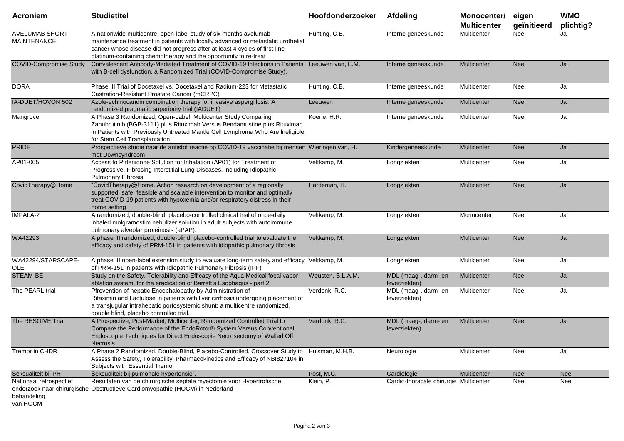| <b>Acroniem</b>                                    | <b>Studietitel</b>                                                                                                                                                                                                                                                                                       | Hoofdonderzoeker  | Afdeling                               | Monocenter/<br><b>Multicenter</b> | eigen<br>geïnitieerd | <b>WMO</b><br>plichtig? |
|----------------------------------------------------|----------------------------------------------------------------------------------------------------------------------------------------------------------------------------------------------------------------------------------------------------------------------------------------------------------|-------------------|----------------------------------------|-----------------------------------|----------------------|-------------------------|
| <b>AVELUMAB SHORT</b><br><b>MAINTENANCE</b>        | A nationwide multicentre, open-label study of six months avelumab<br>maintenance treatment in patients with locally advanced or metastatic urothelial<br>cancer whose disease did not progress after at least 4 cycles of first-line<br>platinum-containing chemotherapy and the opportunity to re-treat | Hunting, C.B.     | Interne geneeskunde                    | Multicenter                       | Nee                  | Ja                      |
| <b>COVID-Compromise Study</b>                      | Convalescent Antibody-Mediated Treatment of COVID-19 Infections in Patients Leeuwen van, E.M.<br>with B-cell dysfunction, a Randomized Trial (COVID-Compromise Study).                                                                                                                                   |                   | Interne geneeskunde                    | <b>Multicenter</b>                | <b>Nee</b>           | Ja                      |
| <b>DORA</b>                                        | Phase III Trial of Docetaxel vs. Docetaxel and Radium-223 for Metastatic<br>Castration-Resistant Prostate Cancer (mCRPC)                                                                                                                                                                                 | Hunting, C.B.     | Interne geneeskunde                    | Multicenter                       | Nee                  | Ja                      |
| IA-DUET/HOVON 502                                  | Azole-echinocandin combination therapy for invasive aspergillosis. A<br>randomized pragmatic superiority trial (IADUET)                                                                                                                                                                                  | Leeuwen           | Interne geneeskunde                    | Multicenter                       | <b>Nee</b>           | Ja                      |
| Mangrove                                           | A Phase 3 Randomized, Open-Label, Multicenter Study Comparing<br>Zanubrutinib (BGB-3111) plus Rituximab Versus Bendamustine plus Rituximab<br>in Patients with Previously Untreated Mantle Cell Lymphoma Who Are Ineligible<br>for Stem Cell Transplantation                                             | Koene, H.R.       | Interne geneeskunde                    | Multicenter                       | Nee                  | Ja                      |
| <b>PRIDE</b>                                       | Prospectieve studie naar de antistof reactie op COVID-19 vaccinatie bij mensen Wieringen van, H.<br>met Downsyndroom                                                                                                                                                                                     |                   | Kindergeneeskunde                      | Multicenter                       | <b>Nee</b>           | Ja                      |
| AP01-005                                           | Access to Pirfenidone Solution for Inhalation (AP01) for Treatment of<br>Progressive, Fibrosing Interstitial Lung Diseases, including Idiopathic<br><b>Pulmonary Fibrosis</b>                                                                                                                            | Veltkamp, M.      | Longziekten                            | Multicenter                       | Nee                  | Ja                      |
| CovidTherapy@Home                                  | "CovidTherapy@Home. Action research on development of a regionally<br>supported, safe, feasible and scalable intervention to monitor and optimally<br>treat COVID-19 patients with hypoxemia and/or respiratory distress in their<br>home setting                                                        | Hardeman, H.      | Longziekten                            | Multicenter                       | <b>Nee</b>           | Ja                      |
| IMPALA-2                                           | A randomized, double-blind, placebo-controlled clinical trial of once-daily<br>inhaled molgramostim nebulizer solution in adult subjects with autoimmune<br>pulmonary alveolar proteinosis (aPAP).                                                                                                       | Veltkamp, M.      | Longziekten                            | Monocenter                        | Nee                  | Ja                      |
| WA42293                                            | A phase III randomized, double-blind, placebo-controlled trial to evaluate the<br>efficacy and safety of PRM-151 in patients with idiopathic pulmonary fibrosis                                                                                                                                          | Veltkamp, M.      | Longziekten                            | Multicenter                       | <b>Nee</b>           | Ja                      |
| WA42294/STARSCAPE-<br><b>OLE</b>                   | A phase III open-label extension study to evaluate long-term safety and efficacy Veltkamp, M.<br>of PRM-151 in patients with Idiopathic Pulmonary Fibrosis (IPF)                                                                                                                                         |                   | Longziekten                            | Multicenter                       | Nee                  | Ja                      |
| STEAM-BE                                           | Study on the Safety, Tolerability and Efficacy of the Aqua Medical focal vapor<br>ablation system, for the eradication of Barrett's Esophagus - part 2                                                                                                                                                   | Weusten. B.L.A.M. | MDL (maag-, darm- en<br>leverziekten)  | Multicenter                       | <b>Nee</b>           | Ja                      |
| The PEARL trial                                    | Pfrevention of hepatic Encephalopathy by Administration of<br>Rifaximin and Lactulose in patients with liver cirrhosis undergoing placement of<br>a transjugular intrahepatic portosystemic shunt: a multicentre randomized,<br>double blind, placebo controlled trial.                                  | Verdonk, R.C.     | MDL (maag-, darm- en<br>leverziekten)  | Multicenter                       | Nee                  | Ja                      |
| The RESOIVE Trial                                  | A Prospective, Post-Market, Multicenter, Randomized Controlled Trial to<br>Compare the Performance of the EndoRotor® System Versus Conventional<br>Endoscopie Techniques for Direct Endoscopie Necrosectomy of Walled Off<br><b>Necrosis</b>                                                             | Verdonk, R.C.     | MDL (maag-, darm- en<br>leverziekten)  | Multicenter                       | <b>Nee</b>           | Ja                      |
| Tremor in CHDR                                     | A Phase 2 Randomized, Double-Blind, Placebo-Controlled, Crossover Study to Huisman, M.H.B.<br>Assess the Safety, Tolerability, Pharmacokinetics and Efficacy of NBI827104 in<br>Subjects with Essential Tremor                                                                                           |                   | Neurologie                             | Multicenter                       | Nee                  | Ja                      |
| Seksualiteit bij PH                                | Seksualiteit bij pulmonale hypertensie".                                                                                                                                                                                                                                                                 | Post, M.C.        | Cardiologie                            | Multicenter                       | <b>Nee</b>           | Nee                     |
| Nationaal retrospectief<br>behandeling<br>van HOCM | Resultaten van de chirurgische septale myectomie voor Hypertrofische<br>onderzoek naar chirurgische Obstructieve Cardiomyopathie (HOCM) in Nederland                                                                                                                                                     | Klein, P.         | Cardio-thoracale chirurgie Multicenter |                                   | Nee                  | Nee                     |